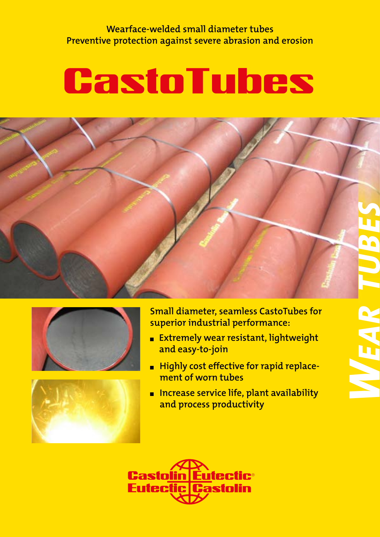**Wearface-welded small diameter tubes Preventive protection against severe abrasion and erosion**

# **CastoTubes**







**Small diameter, seamless CastoTubes for superior industrial performance:**

- **Extremely wear resistant, lightweight and easy-to-join**
- **EXPLO Highly cost effective for rapid replacement of worn tubes**
- Increase service life, plant availability **and process productivity**

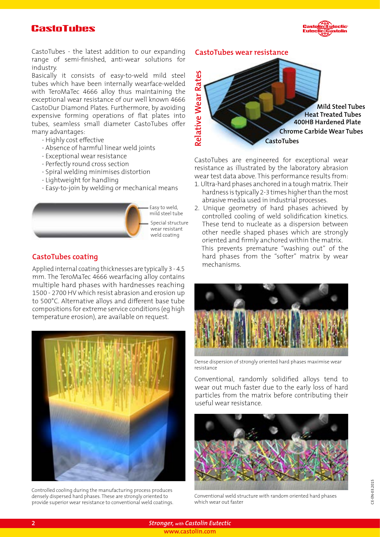#### **CastoTubes**



CastoTubes - the latest addition to our expanding **CastoTubes wear resistance** range of semi-finished, anti-wear solutions for industry.

Basically it consists of easy-to-weld mild steel tubes which have been internally wearface-welded with TeroMaTec 4666 alloy thus maintaining the exceptional wear resistance of our well known 4666 CastoDur Diamond Plates. Furthermore, by avoiding expensive forming operations of flat plates into tubes, seamless small diameter CastoTubes offer many advantages:

- Highly cost effective
- Absence of harmful linear weld joints
- Exceptional wear resistance
- Perfectly round cross section
- Spiral welding minimises distortion
- Lightweight for handling
- Easy-to-join by welding or mechanical means



#### **CastoTubes coating**

Applied internal coating thicknesses are typically 3 - 4.5 mm. The TeroMaTec 4666 wearfacing alloy contains multiple hard phases with hardnesses reaching 1500 - 2700 HV which resist abrasion and erosion up to 500°C. Alternative alloys and different base tube compositions for extreme service conditions (eg high temperature erosion), are available on request.



Controlled cooling during the manufacturing process produces densely dispersed hard phases. These are strongly oriented to provide superior wear resistance to conventional weld coatings.



CastoTubes are engineered for exceptional wear resistance as illustrated by the laboratory abrasion wear test data above. This performance results from:

- 1. Ultra-hard phases anchored in a tough matrix. Their hardness is typically 2-3 times higher than the most abrasive media used in industrial processes.
- 2. Unique geometry of hard phases achieved by controlled cooling of weld solidification kinetics. These tend to nucleate as a dispersion between other needle shaped phases which are strongly oriented and firmly anchored within the matrix. This prevents premature "washing out" of the hard phases from the "softer" matrix by wear mechanisms.



Dense dispersion of strongly oriented hard phases maximise wear resistance

Conventional, randomly solidified alloys tend to wear out much faster due to the early loss of hard particles from the matrix before contributing their useful wear resistance.



Conventional weld structure with random oriented hard phases which wear out faster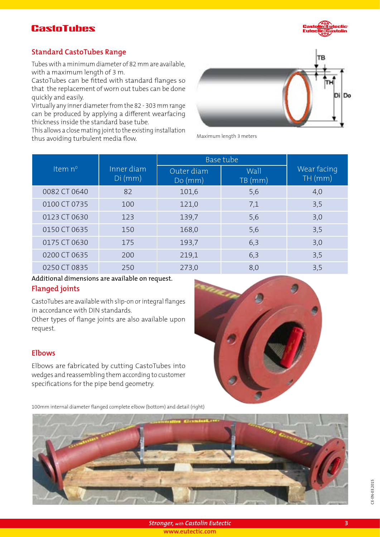### **CastoTubes**



#### **Standard CastoTubes Range**

Tubes with a minimum diameter of 82 mm are available, with a maximum length of 3 m.

CastoTubes can be fitted with standard flanges so that the replacement of worn out tubes can be done quickly and easily.

Virtually any inner diameter from the 82 - 303 mm range can be produced by applying a different wearfacing thickness inside the standard base tube.

This allows a close mating joint to the existing installation thus another alternating jenneds the entering instantation.<br>Maximum length 3 meters<br>Maximum length 3 meters



|                  |                         | Base tube            |                |                        |
|------------------|-------------------------|----------------------|----------------|------------------------|
| Item $n^{\circ}$ | Inner diam<br>$Di$ (mm) | Outer diam<br>Do(mm) | Wall<br>TB(mm) | Wear facing<br>TH (mm) |
| 0082 CT 0640     | 82                      | 101,6                | 5,6            | 4,0                    |
| 0100 CT 0735     | 100                     | 121,0                | 7,1            | 3,5                    |
| 0123 CT 0630     | 123                     | 139,7                | 5,6            | 3,0                    |
| 0150 CT 0635     | 150                     | 168,0                | 5,6            | 3,5                    |
| 0175 CT 0630     | 175                     | 193,7                | 6,3            | 3,0                    |
| 0200 CT 0635     | 200                     | 219,1                | 6,3            | 3,5                    |
| 0250 CT 0835     | 250                     | 273,0                | 8,0            | 3,5                    |

#### **Flanged joints** Additional dimensions are available on request.

CastoTubes are available with slip-on or integral flanges in accordance with DIN standards.

Other types of flange joints are also available upon request.

#### **Elbows**

Elbows are fabricated by cutting CastoTubes into wedges and reassembling them according to customer specifications for the pipe bend geometry.

100mm internal diameter flanged complete elbow (bottom) and detail (right)